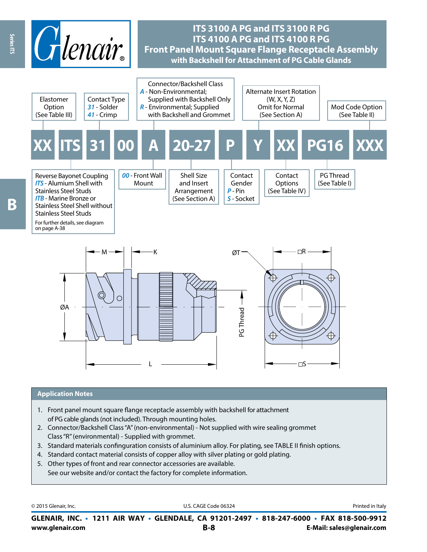

#### **Application Notes**

1. Front panel mount square flange receptacle assembly with backshell for attachment of PG cable glands (not included). Through mounting holes.

L

- 2. Connector/Backshell Class "A" (non-environmental) Not supplied with wire sealing grommet Class "R" (environmental) - Supplied with grommet.
- 3. Standard materials confinguration consists of aluminium alloy. For plating, see TABLE II finish options.
- 4. Standard contact material consists of copper alloy with silver plating or gold plating.
- 5. Other types of front and rear connector accessories are available. See our website and/or contact the factory for complete information.

© 2015 Glenair, Inc. **Discription Construction Construction Construction Construction Construction Construction Construction Construction Construction Construction Construction Construction Construction Construction Constr** 

 $\square$ S

**www.glenair.com B-8 E-Mail: sales@glenair.com GLENAIR, INC. • 1211 AIR WAY • GLENDALE, CA 91201-2497 • 818-247-6000 • FAX 818-500-9912**

Ŗ